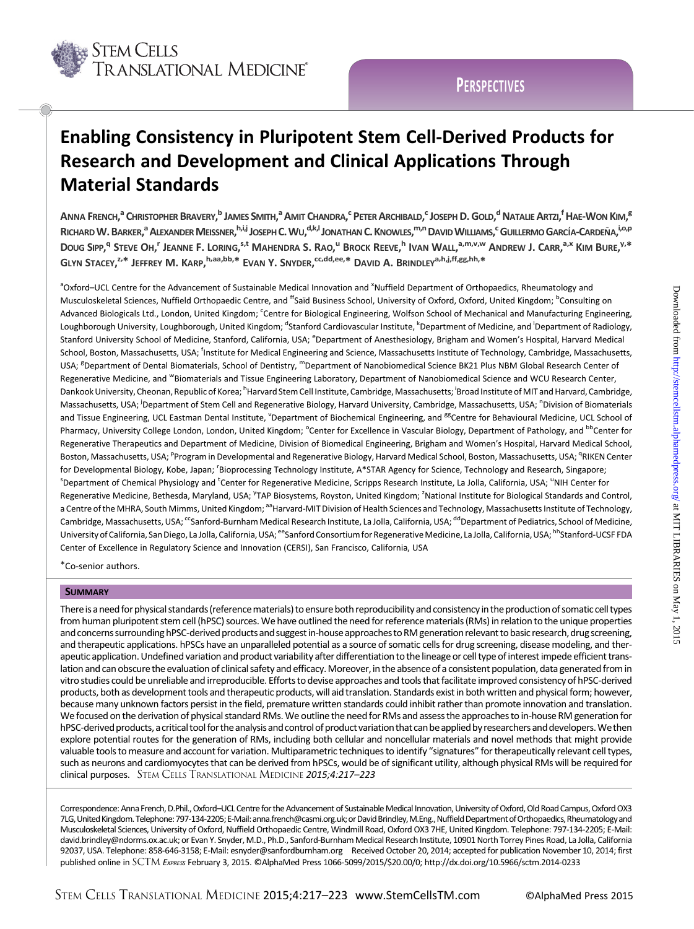

# **PERSPECTIVES**

# Enabling Consistency in Pluripotent Stem Cell-Derived Products for Research and Development and Clinical Applications Through Material Standards

ANNA FRENCH,<sup>a</sup> Christopher Bravery,<sup>b</sup> James Smith,<sup>a</sup> Amit Chandra,<sup>c</sup> Peter Archibald,<sup>c</sup> Joseph D. Gold,<sup>d</sup> Natalie Artzi,<sup>f</sup> Hae-Won Kim,<sup>e</sup> RICHARD W. BARKER,<sup>a</sup> ALEXANDER MEISSNER, <sup>h,i,j</sup> JOSEPH C. WU,<sup>d,k,i</sup> JONATHAN C. KNOWLES,<sup>m,n</sup> DAVID WILLIAMS,<sup>c</sup> GUILLERMO GARCÍA-CARDEÑA,<sup>i,o,p</sup> Doug Sipp,<sup>q</sup> Steve Oh,<sup>r</sup> Jeanne F. Loring,<sup>s,t</sup> Mahendra S. Rao,<sup>u</sup> Brock Reeve,<sup>h</sup> Ivan Wall,<sup>a,m,v,w</sup> Andrew J. Carr,<sup>a,x</sup> Kim Bure,<sup>y,\*</sup> GLYN STACEY,<sup>z,\*</sup> JEFFREY M. KARP,<sup>h,aa,bb,\*</sup> EVAN Y. SNYDER,<sup>cc,dd,ee,\*</sup> DAVID A. BRINDLEY<sup>a,h,j,ff,gg,hh,\*</sup>

<sup>a</sup> Oxford–UCL Centre for the Advancement of Sustainable Medical Innovation and <sup>x</sup>Nuffield Department of Orthopaedics, Rheumatology and Musculoskeletal Sciences, Nuffield Orthopaedic Centre, and <sup>ff</sup>Saïd Business School, University of Oxford, Oxford, United Kingdom; <sup>b</sup>Consulting on Advanced Biologicals Ltd., London, United Kingdom; <sup>c</sup>Centre for Biological Engineering, Wolfson School of Mechanical and Manufacturing Engineering, Loughborough University, Loughborough, United Kingdom; <sup>d</sup>Stanford Cardiovascular Institute, <sup>k</sup>Department of Medicine, and <sup>I</sup>Department of Radiology, Stanford University School of Medicine, Stanford, California, USA; <sup>e</sup>Department of Anesthesiology, Brigham and Women's Hospital, Harvard Medical School, Boston, Massachusetts, USA; <sup>f</sup>Institute for Medical Engineering and Science, Massachusetts Institute of Technology, Cambridge, Massachusetts, USA; <sup>g</sup>Department of Dental Biomaterials, School of Dentistry, <sup>m</sup>Department of Nanobiomedical Science BK21 Plus NBM Global Research Center of Regenerative Medicine, and WBiomaterials and Tissue Engineering Laboratory, Department of Nanobiomedical Science and WCU Research Center, Dankook University, Cheonan, Republic of Korea; <sup>h</sup>Harvard Stem Cell Institute, Cambridge, Massachusetts; <sup>i</sup>Broad Institute of MIT and Harvard, Cambridge, Massachusetts, USA; <sup>i</sup>Department of Stem Cell and Regenerative Biology, Harvard University, Cambridge, Massachusetts, USA; <sup>n</sup>Division of Biomaterials and Tissue Engineering, UCL Eastman Dental Institute, <sup>v</sup>Department of Biochemical Engineering, and <sup>gg</sup>Centre for Behavioural Medicine, UCL School of Pharmacy, University College London, London, United Kingdom; <sup>o</sup>Center for Excellence in Vascular Biology, Department of Pathology, and <sup>bb</sup>Center for Regenerative Therapeutics and Department of Medicine, Division of Biomedical Engineering, Brigham and Women's Hospital, Harvard Medical School, Boston, Massachusetts, USA; <sup>p</sup>Program in Developmental and Regenerative Biology, Harvard Medical School, Boston, Massachusetts, USA; <sup>q</sup>RIKEN Center for Developmental Biology, Kobe, Japan; <sup>r</sup>Bioprocessing Technology Institute, A\*STAR Agency for Science, Technology and Research, Singapore; <sup>s</sup> Department of Chemical Physiology and <sup>t</sup>Center for Regenerative Medicine, Scripps Research Institute, La Jolla, California, USA; <sup>u</sup>NIH Center for Regenerative Medicine, Bethesda, Maryland, USA; <sup>y</sup>TAP Biosystems, Royston, United Kingdom; <sup>z</sup>National Institute for Biological Standards and Control, a Centre of the MHRA, South Mimms, United Kingdom; <sup>aa</sup>Harvard-MIT Division of Health Sciences and Technology, Massachusetts Institute of Technology, Cambridge, Massachusetts, USA; <sup>cc</sup>Sanford-Burnham Medical Research Institute, La Jolla, California, USA; <sup>dd</sup>Department of Pediatrics, School of Medicine, University of California, San Diego, La Jolla, California, USA; <sup>ee</sup>Sanford Consortium for Regenerative Medicine, La Jolla, California, USA; <sup>hh</sup>Stanford-UCSF FDA Center of Excellence in Regulatory Science and Innovation (CERSI), San Francisco, California, USA

\*Co-senior authors.

#### **SUMMARY**

There is a need for physical standards (reference materials) to ensure both reproducibility and consistency in the production of somatic cell types from human pluripotent stem cell (hPSC) sources.We have outlined the need for reference materials (RMs) in relation to the unique properties and concerns surrounding hPSC-derived products and suggest in-house approaches to RM generation relevant to basic research, drug screening, and therapeutic applications. hPSCs have an unparalleled potential as a source of somatic cells for drug screening, disease modeling, and therapeutic application. Undefined variation and product variability after differentiation to the lineage or cell type of interest impede efficient translation and can obscure the evaluation of clinical safety and efficacy. Moreover, in the absence of a consistent population, data generated from in vitro studies could be unreliable and irreproducible. Efforts to devise approaches and tools that facilitate improved consistency of hPSC-derived products, both as development tools and therapeutic products, will aid translation. Standards exist in both written and physical form; however, because many unknown factors persist in the field, premature written standards could inhibit rather than promote innovation and translation. We focused on the derivation of physical standard RMs. We outline the need for RMs and assess the approaches to in-house RM generation for hPSC-derived products, a critical tool for the analysis and control of product variation that can be applied by researchers and developers. We then explore potential routes for the generation of RMs, including both cellular and noncellular materials and novel methods that might provide valuable tools to measure and account for variation. Multiparametric techniques to identify "signatures" for therapeutically relevant cell types, such as neurons and cardiomyocytes that can be derived from hPSCs, would be of significant utility, although physical RMs will be required for clinical purposes. STEM CELLS TRANSLATIONAL MEDICINE 2015;4:217–223

Correspondence: Anna French, D.Phil., Oxford–UCL Centre for the Advancement of Sustainable Medical Innovation, University of Oxford, Old Road Campus, Oxford OX3 7LG,UnitedKingdom.Telephone:797-134-2205;E-Mail:[anna.french@casmi.org.uk;](mailto:anna.french@casmi.org.uk)orDavidBrindley,M.Eng.,NuffieldDepartmentofOrthopaedics,Rheumatologyand Musculoskeletal Sciences, University of Oxford, Nuffield Orthopaedic Centre, Windmill Road, Oxford OX3 7HE, United Kingdom. Telephone: 797-134-2205; E-Mail: [david.brindley@ndorms.ox.ac.uk;](mailto:david.brindley@ndorms.ox.ac.uk) or Evan Y. Snyder, M.D., Ph.D., Sanford-Burnham Medical Research Institute, 10901 North Torrey Pines Road, La Jolla, California 92037, USA. Telephone: 858-646-3158; E-Mail: [esnyder@sanfordburnham.org](mailto:esnyder@sanfordburnham.org) Received October 20, 2014; accepted for publication November 10, 2014; first published online in SCTM EXPRESS February 3, 2015. ©AlphaMed Press 1066-5099/2015/\$20.00/0; http://dx.doi.org/10.5966/sctm.2014-0233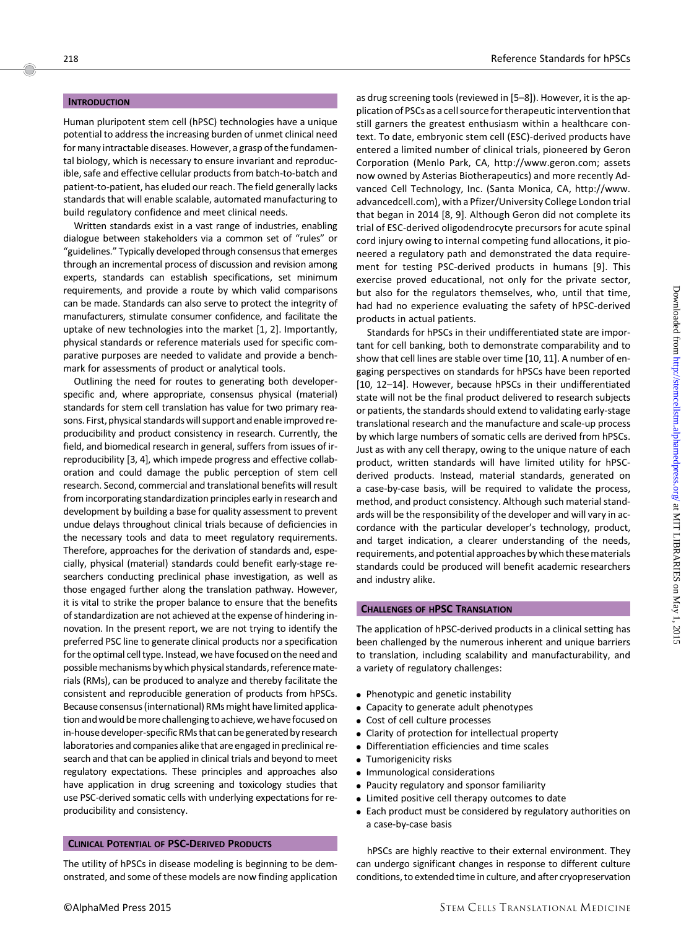## **INTRODUCTION**

Human pluripotent stem cell (hPSC) technologies have a unique potential to address the increasing burden of unmet clinical need for many intractable diseases. However, a grasp of the fundamental biology, which is necessary to ensure invariant and reproducible, safe and effective cellular products from batch-to-batch and patient-to-patient, has eluded our reach. The field generally lacks standards that will enable scalable, automated manufacturing to build regulatory confidence and meet clinical needs.

Written standards exist in a vast range of industries, enabling dialogue between stakeholders via a common set of "rules" or "guidelines." Typically developed through consensus that emerges through an incremental process of discussion and revision among experts, standards can establish specifications, set minimum requirements, and provide a route by which valid comparisons can be made. Standards can also serve to protect the integrity of manufacturers, stimulate consumer confidence, and facilitate the uptake of new technologies into the market [1, 2]. Importantly, physical standards or reference materials used for specific comparative purposes are needed to validate and provide a benchmark for assessments of product or analytical tools.

Outlining the need for routes to generating both developerspecific and, where appropriate, consensus physical (material) standards for stem cell translation has value for two primary reasons. First, physical standards will support and enable improved reproducibility and product consistency in research. Currently, the field, and biomedical research in general, suffers from issues of irreproducibility [3, 4], which impede progress and effective collaboration and could damage the public perception of stem cell research. Second, commercial and translational benefits will result from incorporating standardization principles early in research and development by building a base for quality assessment to prevent undue delays throughout clinical trials because of deficiencies in the necessary tools and data to meet regulatory requirements. Therefore, approaches for the derivation of standards and, especially, physical (material) standards could benefit early-stage researchers conducting preclinical phase investigation, as well as those engaged further along the translation pathway. However, it is vital to strike the proper balance to ensure that the benefits of standardization are not achieved at the expense of hindering innovation. In the present report, we are not trying to identify the preferred PSC line to generate clinical products nor a specification for the optimal cell type. Instead, we have focused on the need and possible mechanisms by which physical standards, reference materials (RMs), can be produced to analyze and thereby facilitate the consistent and reproducible generation of products from hPSCs. Because consensus (international) RMs might have limited application andwould bemore challenging toachieve, we have focused on in-house developer-specific RMs that can begenerated by research laboratories and companies alike that are engaged in preclinical research and that can be applied in clinical trials and beyond to meet regulatory expectations. These principles and approaches also have application in drug screening and toxicology studies that use PSC-derived somatic cells with underlying expectations for reproducibility and consistency.

### CLINICAL POTENTIAL OF PSC-DERIVED PRODUCTS

The utility of hPSCs in disease modeling is beginning to be demonstrated, and some of these models are now finding application as drug screening tools (reviewed in [5–8]). However, it is the application of PSCs as a cell source for therapeutic intervention that still garners the greatest enthusiasm within a healthcare context. To date, embryonic stem cell (ESC)-derived products have entered a limited number of clinical trials, pioneered by Geron Corporation (Menlo Park, CA, [http://www.geron.com](http://www.geron.com/); assets now owned by Asterias Biotherapeutics) and more recently Advanced Cell Technology, Inc. (Santa Monica, CA, [http://www.](http://www.advancedcell.com) [advancedcell.com](http://www.advancedcell.com)), with a Pfizer/University College London trial that began in 2014 [8, 9]. Although Geron did not complete its trial of ESC-derived oligodendrocyte precursors for acute spinal cord injury owing to internal competing fund allocations, it pioneered a regulatory path and demonstrated the data requirement for testing PSC-derived products in humans [9]. This exercise proved educational, not only for the private sector, but also for the regulators themselves, who, until that time, had had no experience evaluating the safety of hPSC-derived products in actual patients.

Standards for hPSCs in their undifferentiated state are important for cell banking, both to demonstrate comparability and to show that cell lines are stable over time [10, 11]. A number of engaging perspectives on standards for hPSCs have been reported [10, 12–14]. However, because hPSCs in their undifferentiated state will not be the final product delivered to research subjects or patients, the standards should extend to validating early-stage translational research and the manufacture and scale-up process by which large numbers of somatic cells are derived from hPSCs. Just as with any cell therapy, owing to the unique nature of each product, written standards will have limited utility for hPSCderived products. Instead, material standards, generated on a case-by-case basis, will be required to validate the process, method, and product consistency. Although such material standards will be the responsibility of the developer and will vary in accordance with the particular developer's technology, product, and target indication, a clearer understanding of the needs, requirements, and potential approaches by which these materials standards could be produced will benefit academic researchers and industry alike.

#### CHALLENGES OF HPSC TRANSLATION

The application of hPSC-derived products in a clinical setting has been challenged by the numerous inherent and unique barriers to translation, including scalability and manufacturability, and a variety of regulatory challenges:

- Phenotypic and genetic instability
- Capacity to generate adult phenotypes
- Cost of cell culture processes
- Clarity of protection for intellectual property
- Differentiation efficiencies and time scales
- Tumorigenicity risks
- Immunological considerations
- Paucity regulatory and sponsor familiarity
- Limited positive cell therapy outcomes to date
- Each product must be considered by regulatory authorities on a case-by-case basis

hPSCs are highly reactive to their external environment. They can undergo significant changes in response to different culture conditions, to extended time in culture, and after cryopreservation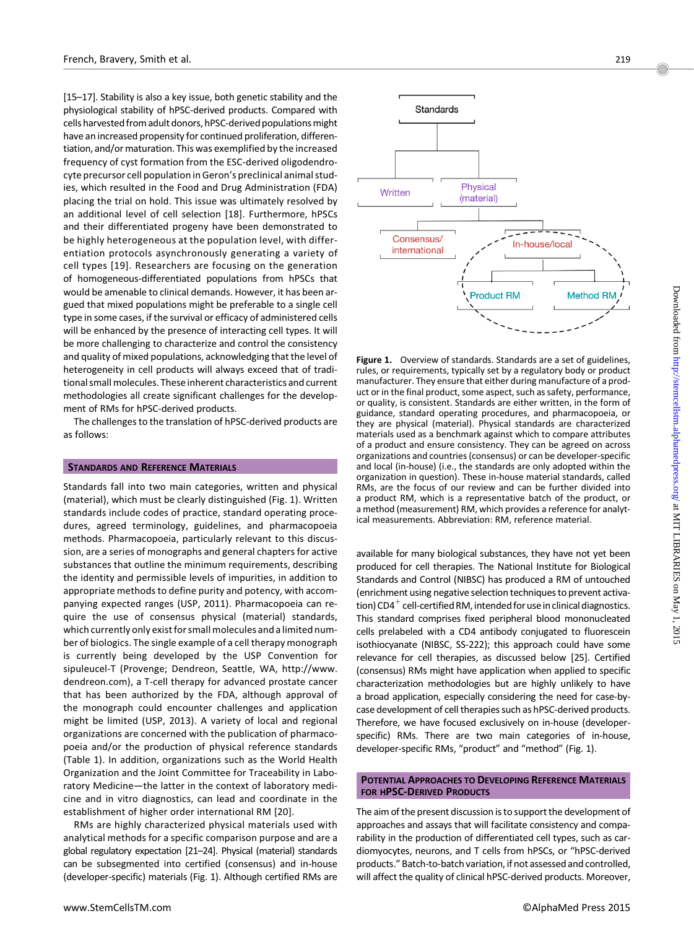[15–17]. Stability is also a key issue, both genetic stability and the physiological stability of hPSC-derived products. Compared with cells harvested from adult donors, hPSC-derived populations might have an increased propensity for continued proliferation, differentiation, and/or maturation. This was exemplified by the increased frequency of cyst formation from the ESC-derived oligodendrocyte precursor cell population in Geron's preclinical animal studies, which resulted in the Food and Drug Administration (FDA) placing the trial on hold. This issue was ultimately resolved by an additional level of cell selection [18]. Furthermore, hPSCs and their differentiated progeny have been demonstrated to be highly heterogeneous at the population level, with differentiation protocols asynchronously generating a variety of cell types [19]. Researchers are focusing on the generation of homogeneous-differentiated populations from hPSCs that would be amenable to clinical demands. However, it has been argued that mixed populations might be preferable to a single cell type in some cases, if the survival or efficacy of administered cells will be enhanced by the presence of interacting cell types. It will be more challenging to characterize and control the consistency and quality of mixed populations, acknowledging that the level of heterogeneity in cell products will always exceed that of traditional small molecules. These inherent characteristics and current methodologies all create significant challenges for the development of RMs for hPSC-derived products.

The challenges to the translation of hPSC-derived products are as follows:

#### **STANDARDS AND REFERENCE MATERIALS**

Standards fall into two main categories, written and physical (material), which must be clearly distinguished (Fig. 1). Written standards include codes of practice, standard operating procedures, agreed terminology, guidelines, and pharmacopoeia methods. Pharmacopoeia, particularly relevant to this discussion, are a series of monographs and general chapters for active substances that outline the minimum requirements, describing the identity and permissible levels of impurities, in addition to appropriate methods to define purity and potency, with accompanying expected ranges (USP, 2011). Pharmacopoeia can require the use of consensus physical (material) standards, which currently only exist for small molecules and a limited number of biologics. The single example of a cell therapy monograph is currently being developed by the USP Convention for sipuleucel-T (Provenge; Dendreon, Seattle, WA, [http://www.](http://www.dendreon.com) [dendreon.com](http://www.dendreon.com)), a T-cell therapy for advanced prostate cancer that has been authorized by the FDA, although approval of the monograph could encounter challenges and application might be limited (USP, 2013). A variety of local and regional organizations are concerned with the publication of pharmacopoeia and/or the production of physical reference standards (Table 1). In addition, organizations such as the World Health Organization and the Joint Committee for Traceability in Laboratory Medicine—the latter in the context of laboratory medicine and in vitro diagnostics, can lead and coordinate in the establishment of higher order international RM [20].

RMs are highly characterized physical materials used with analytical methods for a specific comparison purpose and are a global regulatory expectation [21–24]. Physical (material) standards can be subsegmented into certified (consensus) and in-house (developer-specific) materials (Fig. 1). Although certified RMs are



Figure 1. Overview of standards. Standards are a set of guidelines, rules, or requirements, typically set by a regulatory body or product manufacturer. They ensure that either during manufacture of a product or in the final product, some aspect, such as safety, performance, or quality, is consistent. Standards are either written, in the form of guidance, standard operating procedures, and pharmacopoeia, or they are physical (material). Physical standards are characterized materials used as a benchmark against which to compare attributes of a product and ensure consistency. They can be agreed on across organizations and countries (consensus) or can be developer-specific and local (in-house) (i.e., the standards are only adopted within the organization in question). These in-house material standards, called RMs, are the focus of our review and can be further divided into a product RM, which is a representative batch of the product, or a method (measurement) RM, which provides a reference for analytical measurements. Abbreviation: RM, reference material.

available for many biological substances, they have not yet been produced for cell therapies. The National Institute for Biological Standards and Control (NIBSC) has produced a RM of untouched (enrichment using negative selection techniques to prevent activation) CD4<sup>+</sup> cell-certified RM, intended for use in clinical diagnostics. This standard comprises fixed peripheral blood mononucleated cells prelabeled with a CD4 antibody conjugated to fluorescein isothiocyanate (NIBSC, SS-222); this approach could have some relevance for cell therapies, as discussed below [25]. Certified (consensus) RMs might have application when applied to specific characterization methodologies but are highly unlikely to have a broad application, especially considering the need for case-bycase development of cell therapies such as hPSC-derived products. Therefore, we have focused exclusively on in-house (developerspecific) RMs. There are two main categories of in-house, developer-specific RMs, "product" and "method" (Fig. 1).

## POTENTIAL APPROACHES TO DEVELOPING REFERENCE MATERIALS FOR HPSC-DERIVED PRODUCTS

The aim of the present discussion is to support the development of approaches and assays that will facilitate consistency and comparability in the production of differentiated cell types, such as cardiomyocytes, neurons, and T cells from hPSCs, or "hPSC-derived products." Batch-to-batch variation, if not assessed and controlled, will affect the quality of clinical hPSC-derived products. Moreover,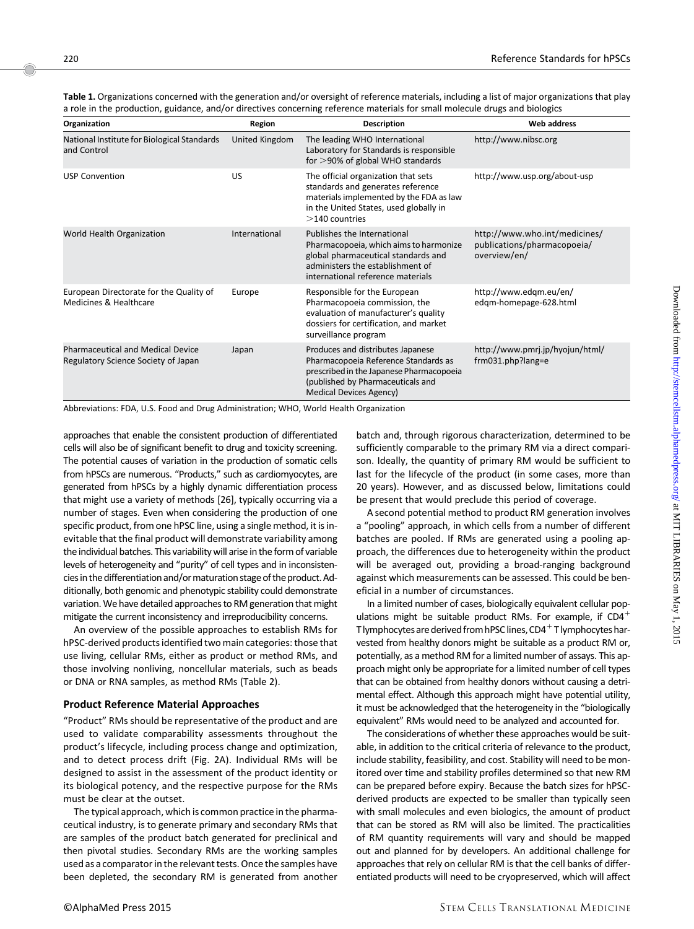Table 1. Organizations concerned with the generation and/or oversight of reference materials, including a list of major organizations that play a role in the production, guidance, and/or directives concerning reference materials for small molecule drugs and biologics

| Organization                                                                    | Region         | <b>Description</b>                                                                                                                                                                           | <b>Web address</b>                                                           |
|---------------------------------------------------------------------------------|----------------|----------------------------------------------------------------------------------------------------------------------------------------------------------------------------------------------|------------------------------------------------------------------------------|
| National Institute for Biological Standards<br>and Control                      | United Kingdom | The leading WHO International<br>Laboratory for Standards is responsible<br>for $>90\%$ of global WHO standards                                                                              | http://www.nibsc.org                                                         |
| <b>USP Convention</b>                                                           | US             | The official organization that sets<br>standards and generates reference<br>materials implemented by the FDA as law<br>in the United States, used globally in<br>$>$ 140 countries           | http://www.usp.org/about-usp                                                 |
| World Health Organization                                                       | International  | Publishes the International<br>Pharmacopoeia, which aims to harmonize<br>global pharmaceutical standards and<br>administers the establishment of<br>international reference materials        | http://www.who.int/medicines/<br>publications/pharmacopoeia/<br>overview/en/ |
| European Directorate for the Quality of<br>Medicines & Healthcare               | Europe         | Responsible for the European<br>Pharmacopoeia commission, the<br>evaluation of manufacturer's quality<br>dossiers for certification, and market<br>surveillance program                      | http://www.edqm.eu/en/<br>edgm-homepage-628.html                             |
| <b>Pharmaceutical and Medical Device</b><br>Regulatory Science Society of Japan | Japan          | Produces and distributes Japanese<br>Pharmacopoeia Reference Standards as<br>prescribed in the Japanese Pharmacopoeia<br>(published by Pharmaceuticals and<br><b>Medical Devices Agency)</b> | http://www.pmrj.jp/hyojun/html/<br>$frm031.php?$ lang=e                      |

Abbreviations: FDA, U.S. Food and Drug Administration; WHO, World Health Organization

approaches that enable the consistent production of differentiated cells will also be of significant benefit to drug and toxicity screening. The potential causes of variation in the production of somatic cells from hPSCs are numerous. "Products," such as cardiomyocytes, are generated from hPSCs by a highly dynamic differentiation process that might use a variety of methods [26], typically occurring via a number of stages. Even when considering the production of one specific product, from one hPSC line, using a single method, it is inevitable that the final product will demonstrate variability among the individual batches. This variability will arise in the form of variable levels of heterogeneity and "purity" of cell types and in inconsistencies in the differentiation and/or maturation stage of the product. Additionally, both genomic and phenotypic stability could demonstrate variation.We have detailed approaches to RM generation that might mitigate the current inconsistency and irreproducibility concerns.

An overview of the possible approaches to establish RMs for hPSC-derived products identified two main categories: those that use living, cellular RMs, either as product or method RMs, and those involving nonliving, noncellular materials, such as beads or DNA or RNA samples, as method RMs (Table 2).

# Product Reference Material Approaches

"Product" RMs should be representative of the product and are used to validate comparability assessments throughout the product's lifecycle, including process change and optimization, and to detect process drift (Fig. 2A). Individual RMs will be designed to assist in the assessment of the product identity or its biological potency, and the respective purpose for the RMs must be clear at the outset.

The typical approach, which is common practice in the pharmaceutical industry, is to generate primary and secondary RMs that are samples of the product batch generated for preclinical and then pivotal studies. Secondary RMs are the working samples used as a comparator in the relevant tests. Once the samples have been depleted, the secondary RM is generated from another batch and, through rigorous characterization, determined to be sufficiently comparable to the primary RM via a direct comparison. Ideally, the quantity of primary RM would be sufficient to last for the lifecycle of the product (in some cases, more than 20 years). However, and as discussed below, limitations could be present that would preclude this period of coverage.

A second potential method to product RM generation involves a "pooling" approach, in which cells from a number of different batches are pooled. If RMs are generated using a pooling approach, the differences due to heterogeneity within the product will be averaged out, providing a broad-ranging background against which measurements can be assessed. This could be beneficial in a number of circumstances.

In a limited number of cases, biologically equivalent cellular populations might be suitable product RMs. For example, if  $CD4^+$ T lymphocytes are derived from hPSC lines,  $CD4^+$  T lymphocytes harvested from healthy donors might be suitable as a product RM or, potentially, as a method RM for a limited number of assays. This approach might only be appropriate for a limited number of cell types that can be obtained from healthy donors without causing a detrimental effect. Although this approach might have potential utility, it must be acknowledged that the heterogeneity in the "biologically equivalent" RMs would need to be analyzed and accounted for.

The considerations of whether these approaches would be suitable, in addition to the critical criteria of relevance to the product, include stability, feasibility, and cost. Stability will need to be monitored over time and stability profiles determined so that new RM can be prepared before expiry. Because the batch sizes for hPSCderived products are expected to be smaller than typically seen with small molecules and even biologics, the amount of product that can be stored as RM will also be limited. The practicalities of RM quantity requirements will vary and should be mapped out and planned for by developers. An additional challenge for approaches that rely on cellular RM is that the cell banks of differentiated products will need to be cryopreserved, which will affect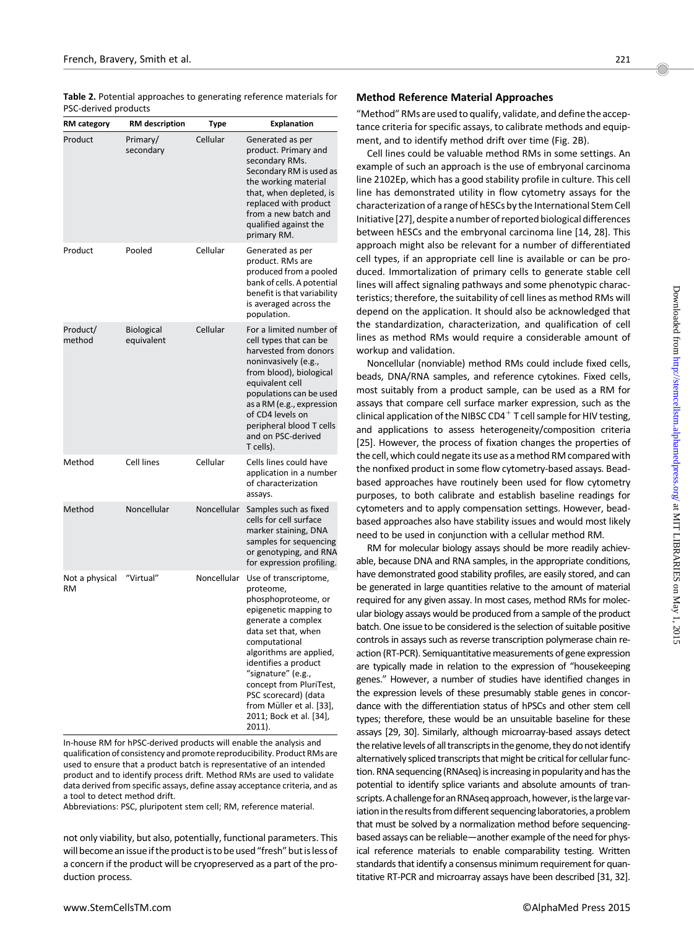Table 2. Potential approaches to generating reference materials for PSC-derived products

| <b>RM</b> category          | <b>RM</b> description           | Type        | <b>Explanation</b>                                                                                                                                                                                                                                                                                                                            |
|-----------------------------|---------------------------------|-------------|-----------------------------------------------------------------------------------------------------------------------------------------------------------------------------------------------------------------------------------------------------------------------------------------------------------------------------------------------|
| Product                     | Primary/<br>secondary           | Cellular    | Generated as per<br>product. Primary and<br>secondary RMs.<br>Secondary RM is used as<br>the working material<br>that, when depleted, is<br>replaced with product<br>from a new batch and<br>qualified against the<br>primary RM.                                                                                                             |
| Product                     | Pooled                          | Cellular    | Generated as per<br>product. RMs are<br>produced from a pooled<br>bank of cells. A potential<br>benefit is that variability<br>is averaged across the<br>population.                                                                                                                                                                          |
| Product/<br>method          | <b>Biological</b><br>equivalent | Cellular    | For a limited number of<br>cell types that can be<br>harvested from donors<br>noninvasively (e.g.,<br>from blood), biological<br>equivalent cell<br>populations can be used<br>as a RM (e.g., expression<br>of CD4 levels on<br>peripheral blood T cells<br>and on PSC-derived<br>T cells).                                                   |
| Method                      | <b>Cell lines</b>               | Cellular    | Cells lines could have<br>application in a number<br>of characterization<br>assays.                                                                                                                                                                                                                                                           |
| Method                      | Noncellular                     | Noncellular | Samples such as fixed<br>cells for cell surface<br>marker staining, DNA<br>samples for sequencing<br>or genotyping, and RNA<br>for expression profiling.                                                                                                                                                                                      |
| Not a physical<br><b>RM</b> | "Virtual"                       | Noncellular | Use of transcriptome,<br>proteome,<br>phosphoproteome, or<br>epigenetic mapping to<br>generate a complex<br>data set that, when<br>computational<br>algorithms are applied,<br>identifies a product<br>"signature" (e.g.,<br>concept from PluriTest,<br>PSC scorecard) (data<br>from Müller et al. [33],<br>2011; Bock et al. [34],<br>2011). |

In-house RM for hPSC-derived products will enable the analysis and qualification of consistency and promote reproducibility. Product RMs are used to ensure that a product batch is representative of an intended product and to identify process drift. Method RMs are used to validate data derived from specific assays, define assay acceptance criteria, and as a tool to detect method drift.

Abbreviations: PSC, pluripotent stem cell; RM, reference material.

not only viability, but also, potentially, functional parameters. This will become an issue if the product is to be used "fresh" but is less of a concern if the product will be cryopreserved as a part of the production process.

# Method Reference Material Approaches

"Method" RMs are used to qualify, validate, and define the acceptance criteria for specific assays, to calibrate methods and equipment, and to identify method drift over time (Fig. 2B).

Cell lines could be valuable method RMs in some settings. An example of such an approach is the use of embryonal carcinoma line 2102Ep, which has a good stability profile in culture. This cell line has demonstrated utility in flow cytometry assays for the characterization of a range of hESCs by the International Stem Cell Initiative [27], despite a number of reported biological differences between hESCs and the embryonal carcinoma line [14, 28]. This approach might also be relevant for a number of differentiated cell types, if an appropriate cell line is available or can be produced. Immortalization of primary cells to generate stable cell lines will affect signaling pathways and some phenotypic characteristics; therefore, the suitability of cell lines as method RMs will depend on the application. It should also be acknowledged that the standardization, characterization, and qualification of cell lines as method RMs would require a considerable amount of workup and validation.

Noncellular (nonviable) method RMs could include fixed cells, beads, DNA/RNA samples, and reference cytokines. Fixed cells, most suitably from a product sample, can be used as a RM for assays that compare cell surface marker expression, such as the clinical application of the NIBSC CD4<sup>+</sup> T cell sample for HIV testing, and applications to assess heterogeneity/composition criteria [25]. However, the process of fixation changes the properties of the cell, which could negate its use as a method RM compared with the nonfixed product in some flow cytometry-based assays. Beadbased approaches have routinely been used for flow cytometry purposes, to both calibrate and establish baseline readings for cytometers and to apply compensation settings. However, beadbased approaches also have stability issues and would most likely need to be used in conjunction with a cellular method RM.

RM for molecular biology assays should be more readily achievable, because DNA and RNA samples, in the appropriate conditions, have demonstrated good stability profiles, are easily stored, and can be generated in large quantities relative to the amount of material required for any given assay. In most cases, method RMs for molecular biology assays would be produced from a sample of the product batch. One issue to be considered is the selection of suitable positive controls in assays such as reverse transcription polymerase chain reaction (RT-PCR). Semiquantitative measurements of gene expression are typically made in relation to the expression of "housekeeping genes." However, a number of studies have identified changes in the expression levels of these presumably stable genes in concordance with the differentiation status of hPSCs and other stem cell types; therefore, these would be an unsuitable baseline for these assays [29, 30]. Similarly, although microarray-based assays detect the relative levels of all transcripts in the genome, they do not identify alternatively spliced transcripts that might be critical for cellular function. RNA sequencing (RNAseq) is increasing in popularity and has the potential to identify splice variants and absolute amounts of transcripts. A challenge for an RNAseq approach, however, is the large variation in the results from different sequencing laboratories, a problem that must be solved by a normalization method before sequencingbased assays can be reliable—another example of the need for physical reference materials to enable comparability testing. Written standards that identify a consensus minimum requirement for quantitative RT-PCR and microarray assays have been described [31, 32].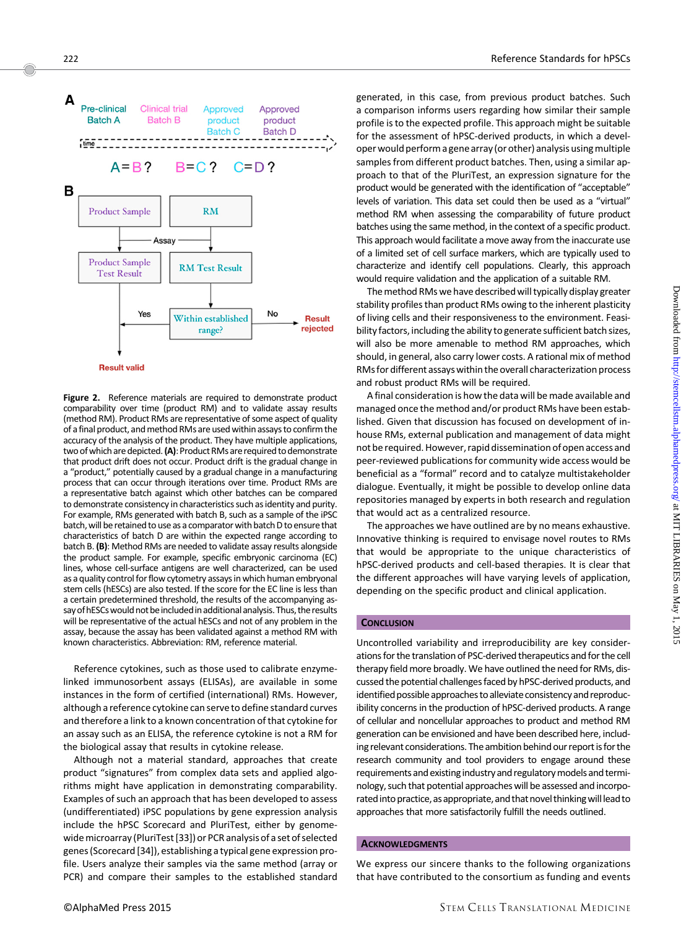



Figure 2. Reference materials are required to demonstrate product comparability over time (product RM) and to validate assay results (method RM). Product RMs are representative of some aspect of quality of a final product, and method RMs are used within assays to confirm the accuracy of the analysis of the product. They have multiple applications, two of which are depicted. (A): Product RMs are required to demonstrate that product drift does not occur. Product drift is the gradual change in a "product," potentially caused by a gradual change in a manufacturing process that can occur through iterations over time. Product RMs are a representative batch against which other batches can be compared to demonstrate consistency in characteristics such as identity and purity. For example, RMs generated with batch B, such as a sample of the iPSC batch, will be retained to use as a comparator with batch D to ensure that characteristics of batch D are within the expected range according to batch B. (B): Method RMs are needed to validate assay results alongside the product sample. For example, specific embryonic carcinoma (EC) lines, whose cell-surface antigens are well characterized, can be used as a quality control for flow cytometry assays in which human embryonal stem cells (hESCs) are also tested. If the score for the EC line is less than a certain predetermined threshold, the results of the accompanying assay of hESCs would not be included in additional analysis. Thus, the results will be representative of the actual hESCs and not of any problem in the assay, because the assay has been validated against a method RM with known characteristics. Abbreviation: RM, reference material.

Reference cytokines, such as those used to calibrate enzymelinked immunosorbent assays (ELISAs), are available in some instances in the form of certified (international) RMs. However, although a reference cytokine can serve to define standard curves and therefore a link to a known concentration of that cytokine for an assay such as an ELISA, the reference cytokine is not a RM for the biological assay that results in cytokine release.

Although not a material standard, approaches that create product "signatures" from complex data sets and applied algorithms might have application in demonstrating comparability. Examples of such an approach that has been developed to assess (undifferentiated) iPSC populations by gene expression analysis include the hPSC Scorecard and PluriTest, either by genomewide microarray (PluriTest [33]) or PCR analysis of a set of selected genes (Scorecard [34]), establishing a typical gene expression profile. Users analyze their samples via the same method (array or PCR) and compare their samples to the established standard generated, in this case, from previous product batches. Such a comparison informs users regarding how similar their sample profile is to the expected profile. This approach might be suitable for the assessment of hPSC-derived products, in which a developer would perform a gene array (or other) analysis usingmultiple samples from different product batches. Then, using a similar approach to that of the PluriTest, an expression signature for the product would be generated with the identification of "acceptable" levels of variation. This data set could then be used as a "virtual" method RM when assessing the comparability of future product batches using the same method, in the context of a specific product. This approach would facilitate a move away from the inaccurate use of a limited set of cell surface markers, which are typically used to characterize and identify cell populations. Clearly, this approach would require validation and the application of a suitable RM.

The method RMs we have described will typically display greater stability profiles than product RMs owing to the inherent plasticity of living cells and their responsiveness to the environment. Feasibility factors, including the ability to generate sufficient batch sizes, will also be more amenable to method RM approaches, which should, in general, also carry lower costs. A rational mix of method RMs for different assays within the overall characterization process and robust product RMs will be required.

A final consideration is how the data will be made available and managed once the method and/or product RMs have been established. Given that discussion has focused on development of inhouse RMs, external publication and management of data might not be required. However, rapid dissemination of open access and peer-reviewed publications for community wide access would be beneficial as a "formal" record and to catalyze multistakeholder dialogue. Eventually, it might be possible to develop online data repositories managed by experts in both research and regulation that would act as a centralized resource.

The approaches we have outlined are by no means exhaustive. Innovative thinking is required to envisage novel routes to RMs that would be appropriate to the unique characteristics of hPSC-derived products and cell-based therapies. It is clear that the different approaches will have varying levels of application, depending on the specific product and clinical application.

#### **CONCLUSION**

Uncontrolled variability and irreproducibility are key considerations for the translation of PSC-derived therapeutics and for the cell therapy field more broadly. We have outlined the need for RMs, discussed the potential challenges faced by hPSC-derived products, and identified possible approaches to alleviate consistency and reproducibility concerns in the production of hPSC-derived products. A range of cellular and noncellular approaches to product and method RM generation can be envisioned and have been described here, including relevant considerations. The ambition behind our report is for the research community and tool providers to engage around these requirements and existing industry and regulatory models and terminology, such that potential approaches will be assessed and incorporated into practice, as appropriate, and that novel thinking will lead to approaches that more satisfactorily fulfill the needs outlined.

### **ACKNOWLEDGMENTS**

We express our sincere thanks to the following organizations that have contributed to the consortium as funding and events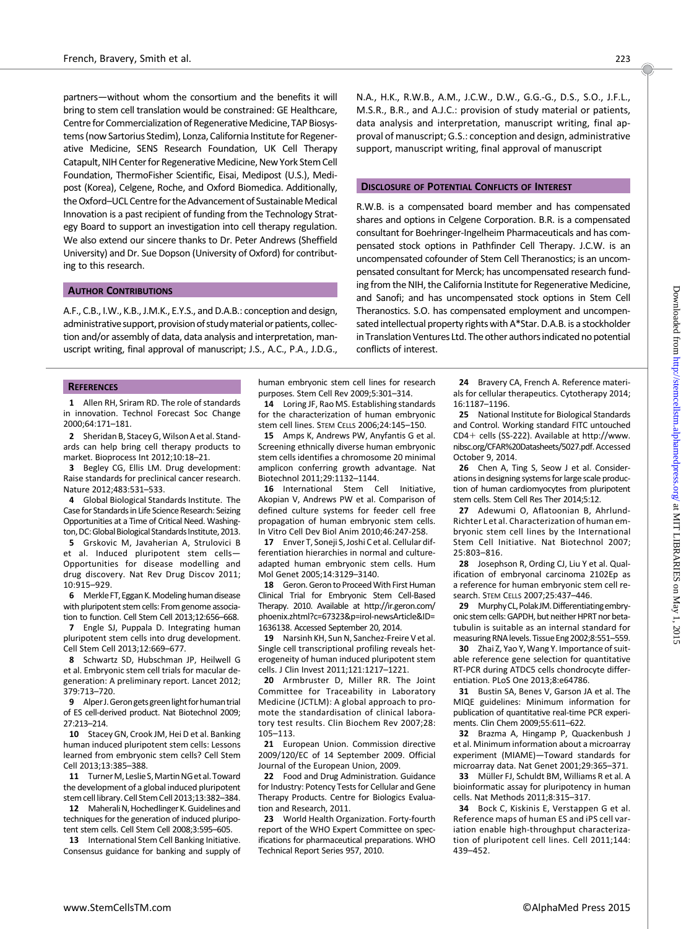partners—without whom the consortium and the benefits it will bring to stem cell translation would be constrained: GE Healthcare, Centre for Commercialization of Regenerative Medicine, TAP Biosystems (now Sartorius Stedim), Lonza, California Institute for Regenerative Medicine, SENS Research Foundation, UK Cell Therapy Catapult, NIH Center for Regenerative Medicine, New York Stem Cell Foundation, ThermoFisher Scientific, Eisai, Medipost (U.S.), Medipost (Korea), Celgene, Roche, and Oxford Biomedica. Additionally, the Oxford-UCL Centre for the Advancement of Sustainable Medical Innovation is a past recipient of funding from the Technology Strategy Board to support an investigation into cell therapy regulation. We also extend our sincere thanks to Dr. Peter Andrews (Sheffield University) and Dr. Sue Dopson (University of Oxford) for contributing to this research.

## AUTHOR CONTRIBUTIONS

A.F., C.B., I.W., K.B., J.M.K., E.Y.S., and D.A.B.: conception and design, administrative support, provision of studymaterial orpatients, collection and/or assembly of data, data analysis and interpretation, manuscript writing, final approval of manuscript; J.S., A.C., P.A., J.D.G.,

#### **REFERENCES**

1 Allen RH, Sriram RD. The role of standards in innovation. Technol Forecast Soc Change 2000;64:171–181.

2 Sheridan B, Stacey G,Wilson A et al. Standards can help bring cell therapy products to market. Bioprocess Int 2012;10:18–21.

3 Begley CG, Ellis LM. Drug development: Raise standards for preclinical cancer research. Nature 2012;483:531–533.

4 Global Biological Standards Institute. The Case for Standards in Life Science Research: Seizing Opportunities at a Time of Critical Need. Washington, DC: Global Biological Standards Institute, 2013. 5 Grskovic M, Javaherian A, Strulovici B et al. Induced pluripotent stem cells— Opportunities for disease modelling and drug discovery. Nat Rev Drug Discov 2011; 10:915–929.

6 Merkle FT, Eggan K. Modeling human disease with pluripotent stem cells: From genome association to function. Cell Stem Cell 2013;12:656–668.

7 Engle SJ, Puppala D. Integrating human pluripotent stem cells into drug development. Cell Stem Cell 2013;12:669–677.

8 Schwartz SD, Hubschman JP, Heilwell G et al. Embryonic stem cell trials for macular degeneration: A preliminary report. Lancet 2012; 379:713–720.

9 Alper J.Gerongetsgreenlight for human trial of ES cell-derived product. Nat Biotechnol 2009; 27:213–214.

10 Stacey GN, Crook JM, Hei D et al. Banking human induced pluripotent stem cells: Lessons learned from embryonic stem cells? Cell Stem Cell 2013;13:385–388.

11 Turner M, Leslie S, Martin NG et al. Toward the development of a global induced pluripotent stem cell library. Cell Stem Cell 2013;13:382–384.

12 Maherali N, Hochedlinger K. Guidelines and techniques for the generation of induced pluripotent stem cells. Cell Stem Cell 2008;3:595–605.

13 International Stem Cell Banking Initiative. Consensus guidance for banking and supply of human embryonic stem cell lines for research

purposes. Stem Cell Rev 2009;5:301–314. 14 Loring JF, Rao MS. Establishing standards for the characterization of human embryonic stem cell lines. STEM CELLS 2006;24:145–150.

15 Amps K, Andrews PW, Anyfantis G et al. Screening ethnically diverse human embryonic stem cells identifies a chromosome 20 minimal amplicon conferring growth advantage. Nat Biotechnol 2011;29:1132–1144.

16 International Stem Cell Initiative, Akopian V, Andrews PW et al. Comparison of defined culture systems for feeder cell free propagation of human embryonic stem cells. In Vitro Cell Dev Biol Anim 2010;46:247-258.

17 Enver T. Soneji S. Joshi C et al. Cellular differentiation hierarchies in normal and cultureadapted human embryonic stem cells. Hum Mol Genet 2005;14:3129–3140.

18 Geron. Geron to Proceed With First Human Clinical Trial for Embryonic Stem Cell-Based Therapy. 2010. Available at [http://ir.geron.com/](http://ir.geron.com/phoenix.zhtml?c=67323&p=irol-newsArticle&ID=1636138) [phoenix.zhtml?c=67323&p=irol-newsArticle&ID=](http://ir.geron.com/phoenix.zhtml?c=67323&p=irol-newsArticle&ID=1636138) [1636138](http://ir.geron.com/phoenix.zhtml?c=67323&p=irol-newsArticle&ID=1636138). Accessed September 20, 2014.

19 Narsinh KH, Sun N, Sanchez-Freire V et al. Single cell transcriptional profiling reveals heterogeneity of human induced pluripotent stem cells. J Clin Invest 2011;121:1217–1221.

20 Armbruster D, Miller RR. The Joint Committee for Traceability in Laboratory Medicine (JCTLM): A global approach to promote the standardisation of clinical laboratory test results. Clin Biochem Rev 2007;28: 105–113.

21 European Union. Commission directive 2009/120/EC of 14 September 2009. Official Journal of the European Union, 2009.

22 Food and Drug Administration. Guidance for Industry: Potency Tests for Cellular and Gene Therapy Products. Centre for Biologics Evaluation and Research, 2011.

23 World Health Organization. Forty-fourth report of the WHO Expert Committee on specifications for pharmaceutical preparations. WHO Technical Report Series 957, 2010.

N.A., H.K., R.W.B., A.M., J.C.W., D.W., G.G.-G., D.S., S.O., J.F.L., M.S.R., B.R., and A.J.C.: provision of study material or patients, data analysis and interpretation, manuscript writing, final approval of manuscript; G.S.: conception and design, administrative support, manuscript writing, final approval of manuscript

#### **DISCLOSURE OF POTENTIAL CONFLICTS OF INTEREST**

R.W.B. is a compensated board member and has compensated shares and options in Celgene Corporation. B.R. is a compensated consultant for Boehringer-Ingelheim Pharmaceuticals and has compensated stock options in Pathfinder Cell Therapy. J.C.W. is an uncompensated cofounder of Stem Cell Theranostics; is an uncompensated consultant for Merck; has uncompensated research funding from the NIH, the California Institute for Regenerative Medicine, and Sanofi; and has uncompensated stock options in Stem Cell Theranostics. S.O. has compensated employment and uncompensated intellectual property rights with A\*Star. D.A.B. is a stockholder in Translation Ventures Ltd. The other authors indicated no potential conflicts of interest.

> 24 Bravery CA, French A. Reference materials for cellular therapeutics. Cytotherapy 2014; 16:1187–1196.

> 25 National Institute for Biological Standards and Control. Working standard FITC untouched  $CD4+$  cells (SS-222). Available at [http://www.](http://www.nibsc.org/CFAR%20Datasheets/5027.pdf) [nibsc.org/CFAR%20Datasheets/5027.pdf](http://www.nibsc.org/CFAR%20Datasheets/5027.pdf).Accessed October 9, 2014.

> 26 Chen A, Ting S, Seow J et al. Considerations in designing systems for large scale production of human cardiomyocytes from pluripotent stem cells. Stem Cell Res Ther 2014;5:12.

> 27 Adewumi O, Aflatoonian B, Ahrlund-Richter L et al. Characterization of human embryonic stem cell lines by the International Stem Cell Initiative. Nat Biotechnol 2007; 25:803–816.

> 28 Josephson R, Ording CJ, Liu Y et al. Qualification of embryonal carcinoma 2102Ep as a reference for human embryonic stem cell research. STEM CELLS 2007;25:437–446.

> 29 Murphy CL, Polak JM. Differentiating embryonic stem cells: GAPDH, but neither HPRT nor betatubulin is suitable as an internal standard for measuring RNA levels. Tissue Eng 2002;8:551–559. 30 Zhai Z, Yao Y, Wang Y. Importance of suit-

> able reference gene selection for quantitative RT-PCR during ATDC5 cells chondrocyte differentiation. PLoS One 2013;8:e64786.

> 31 Bustin SA, Benes V, Garson JA et al. The MIQE guidelines: Minimum information for publication of quantitative real-time PCR experiments. Clin Chem 2009;55:611–622.

> 32 Brazma A, Hingamp P, Quackenbush J et al. Minimum information about a microarray experiment (MIAME)—Toward standards for microarray data. Nat Genet 2001;29:365–371.

> 33 Müller FJ, Schuldt BM, Williams R et al. A bioinformatic assay for pluripotency in human cells. Nat Methods 2011;8:315–317.

> 34 Bock C, Kiskinis E, Verstappen G et al. Reference maps of human ES and iPS cell variation enable high-throughput characterization of pluripotent cell lines. Cell 2011;144: 439–452.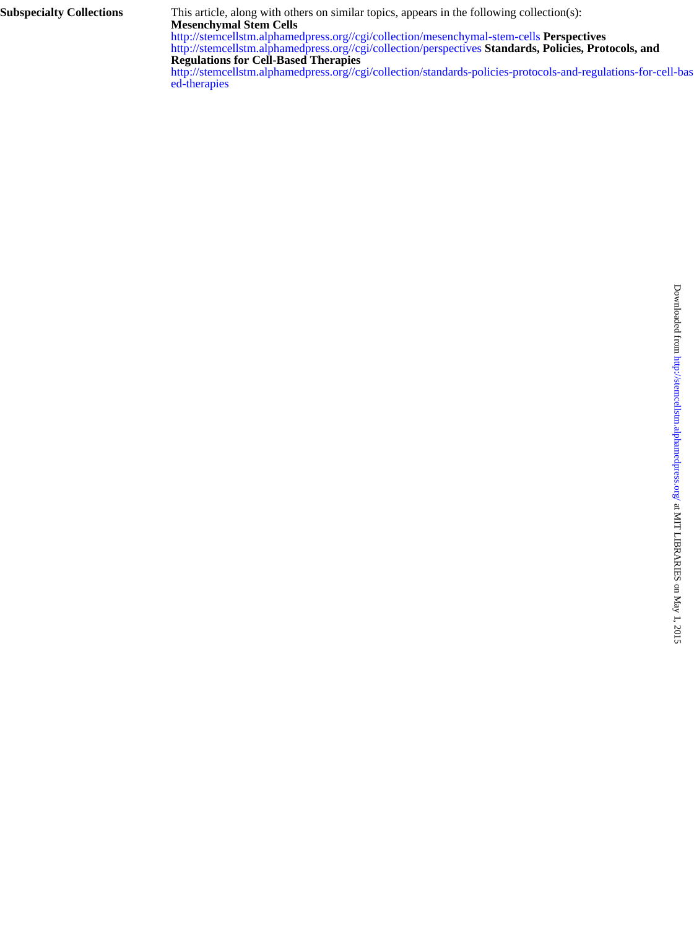**Subspecialty Collections**

**Mesenchymal Stem Cells** This article, along with others on similar topics, appears in the following collection(s):

**Regulations for Cell-Based Therapies** <http://stemcellstm.alphamedpress.org//cgi/collection/perspectives> **Standards, Policies, Protocols, and** <http://stemcellstm.alphamedpress.org//cgi/collection/mesenchymal-stem-cells> **Perspectives**

[ed-therapies](http://stemcellstm.alphamedpress.org//cgi/collection/standards-policies-protocols-and-regulations-for-cell-based-therapies) [http://stemcellstm.alphamedpress.org//cgi/collection/standards-policies-protocols-and-regulations-for-cell-bas](http://stemcellstm.alphamedpress.org//cgi/collection/standards-policies-protocols-and-regulations-for-cell-based-therapies)